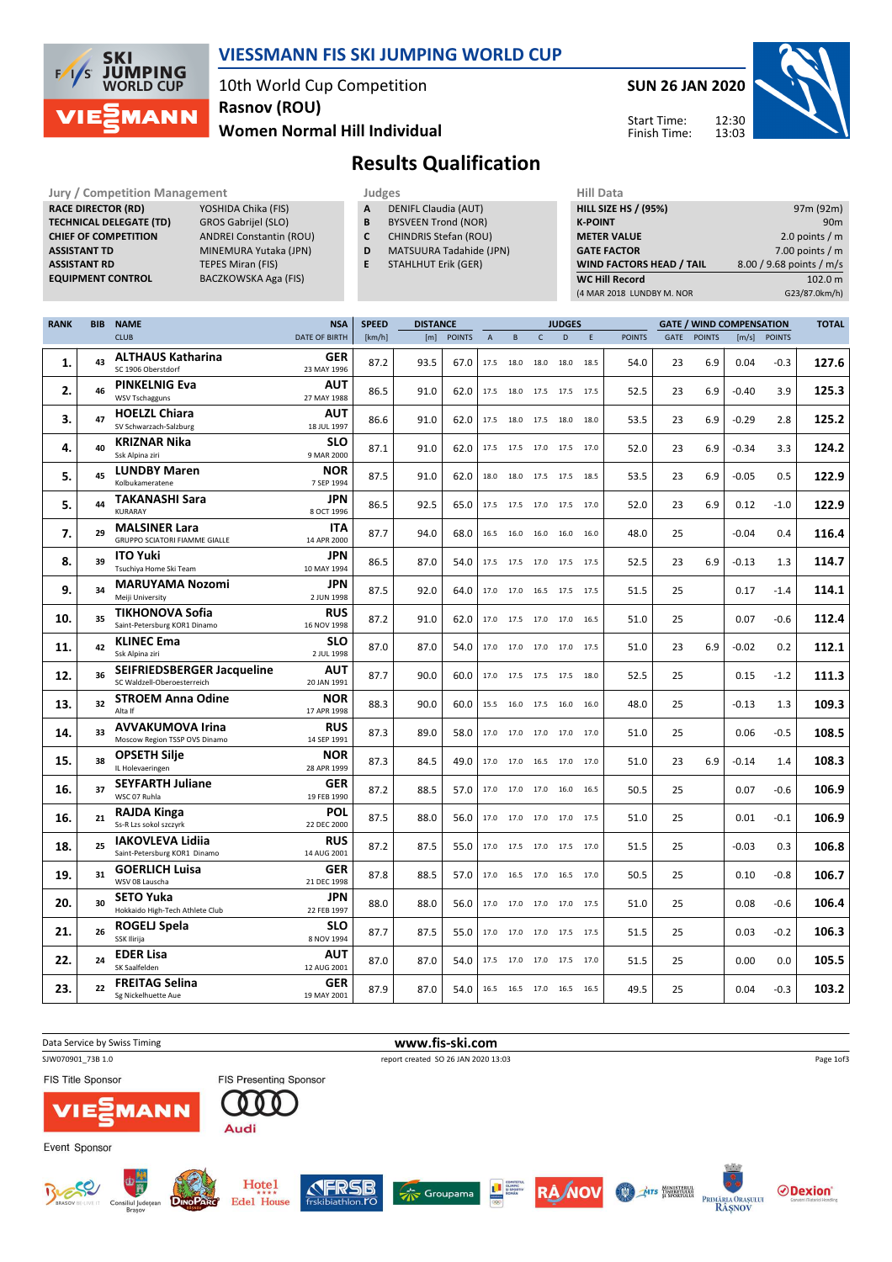

### VIESSMANN FIS SKI JUMPING WORLD CUP

10th World Cup Competition Women Normal Hill Individual Rasnov (ROU)

SUN 26 JAN 2020

Start Time: Finish Time:



Results Qualification

Jury / Competition Management **Judges** Judges Hill Data<br>
RACE DIRECTOR (RD) YOSHIDA Chika (FIS) **A** DENIFL Claudia (AUT) HILL SIZE HILL SIZE RACE DIRECTOR (RD) TECHNICAL DELEGATE (TD) GROS Gabrijel (SLO)<br>CHIEF OF COMPETITION ANDREI Constantin ( ASSISTANT TD MINEMURA Yutaka (JPN) **ASSISTANT RD** TEPES Miran (FIS)<br> **EQUIPMENT CONTROL** BACZKOWSKA Aga

ANDREI Constantin (ROU)

BACZKOWSKA Aga (FIS)

- A DENIFL Claudia (AUT)
- **B** BYSVEEN Trond (NOR)<br>**C** CHINDRIS Stefan (ROU
	- CHINDRIS Stefan (ROU)
- D MATSUURA Tadahide (JPN)
- E STAHLHUT Erik (GER)

| <b>HILL SIZE HS / (95%)</b>     | 97m (92m)                |
|---------------------------------|--------------------------|
| <b>K-POINT</b>                  | 90 <sub>m</sub>          |
| <b>METER VALUE</b>              | 2.0 points $/m$          |
| <b>GATE FACTOR</b>              | 7.00 points $/m$         |
| <b>WIND FACTORS HEAD / TAIL</b> | 8.00 / 9.68 points / m/s |
| <b>WC Hill Record</b>           | 102.0 m                  |
| (4 MAR 2018 LUNDBY M. NOR       | G23/87.0km/h)            |

| <b>RANK</b> | BIB | <b>NAME</b>                                | <b>NSA</b>                | <b>SPEED</b> | <b>DISTANCE</b> |               |                | <b>JUDGES</b> |              |                              |      | <b>GATE / WIND COMPENSATION</b> |      |               |         | <b>TOTAL</b> |       |
|-------------|-----|--------------------------------------------|---------------------------|--------------|-----------------|---------------|----------------|---------------|--------------|------------------------------|------|---------------------------------|------|---------------|---------|--------------|-------|
|             |     | <b>CLUB</b>                                | <b>DATE OF BIRTH</b>      | [km/h]       | [m]             | <b>POINTS</b> | $\overline{A}$ | B             | $\mathsf{C}$ | D.                           | E    | <b>POINTS</b>                   | GATE | <b>POINTS</b> |         | [m/s] POINTS |       |
|             |     | <b>ALTHAUS Katharina</b>                   | <b>GER</b>                |              |                 |               |                |               |              |                              |      |                                 |      |               |         |              |       |
| 1.          | 43  | SC 1906 Oberstdorf                         | 23 MAY 1996               | 87.2         | 93.5            | 67.0          | 17.5           | 18.0          | 18.0         | 18.0                         | 18.5 | 54.0                            | 23   | 6.9           | 0.04    | $-0.3$       | 127.6 |
|             |     | <b>PINKELNIG Eva</b>                       | AUT                       |              |                 |               |                |               |              |                              |      |                                 |      |               |         |              |       |
| 2.          | 46  | <b>WSV Tschagguns</b>                      | 27 MAY 1988               | 86.5         | 91.0            | 62.0          | 17.5           | 18.0          | 17.5         | 17.5 17.5                    |      | 52.5                            | 23   | 6.9           | $-0.40$ | 3.9          | 125.3 |
|             |     | <b>HOELZL Chiara</b>                       | AUT                       |              |                 |               |                |               |              |                              |      |                                 |      |               |         |              |       |
| 3.          | 47  | SV Schwarzach-Salzburg                     | 18 JUL 1997               | 86.6         | 91.0            | 62.0          |                |               |              | 17.5 18.0 17.5 18.0 18.0     |      | 53.5                            | 23   | 6.9           | $-0.29$ | 2.8          | 125.2 |
| 4.          | 40  | <b>KRIZNAR Nika</b>                        | <b>SLO</b>                | 87.1         | 91.0            | 62.0          | 17.5           | 17.5          | 17.0         | 17.5 17.0                    |      | 52.0                            | 23   | 6.9           | $-0.34$ | 3.3          | 124.2 |
|             |     | Ssk Alpina ziri                            | 9 MAR 2000                |              |                 |               |                |               |              |                              |      |                                 |      |               |         |              |       |
| 5.          | 45  | <b>LUNDBY Maren</b>                        | <b>NOR</b>                | 87.5         | 91.0            | 62.0          |                |               |              | 18.0 18.0 17.5 17.5 18.5     |      | 53.5                            | 23   | 6.9           | $-0.05$ | 0.5          | 122.9 |
|             |     | Kolbukameratene                            | 7 SEP 1994                |              |                 |               |                |               |              |                              |      |                                 |      |               |         |              |       |
| 5.          | 44  | TAKANASHI Sara                             | <b>JPN</b>                | 86.5         | 92.5            | 65.0          |                |               |              | 17.5 17.5 17.0 17.5 17.0     |      | 52.0                            | 23   | 6.9           | 0.12    | $-1.0$       | 122.9 |
|             |     | KURARAY                                    | 8 OCT 1996                |              |                 |               |                |               |              |                              |      |                                 |      |               |         |              |       |
| 7.          | 29  | <b>MALSINER Lara</b>                       | <b>ITA</b>                | 87.7         | 94.0            | 68.0          |                |               |              | 16.5 16.0 16.0 16.0 16.0     |      | 48.0                            | 25   |               | $-0.04$ | 0.4          | 116.4 |
|             |     | <b>GRUPPO SCIATORI FIAMME GIALLE</b>       | 14 APR 2000               |              |                 |               |                |               |              |                              |      |                                 |      |               |         |              |       |
| 8.          | 39  | <b>ITO Yuki</b><br>Tsuchiya Home Ski Team  | <b>JPN</b><br>10 MAY 1994 | 86.5         | 87.0            | 54.0          |                |               |              | 17.5 17.5 17.0 17.5 17.5     |      | 52.5                            | 23   | 6.9           | $-0.13$ | 1.3          | 114.7 |
|             |     |                                            |                           |              |                 |               |                |               |              |                              |      |                                 |      |               |         |              |       |
| 9.          | 34  | <b>MARUYAMA Nozomi</b><br>Meiji University | JPN<br>2 JUN 1998         | 87.5         | 92.0            | 64.0          | 17.0           | 17.0          |              | 16.5 17.5 17.5               |      | 51.5                            | 25   |               | 0.17    | $-1.4$       | 114.1 |
|             |     | <b>TIKHONOVA Sofia</b>                     | <b>RUS</b>                |              |                 |               |                |               |              |                              |      |                                 |      |               |         |              |       |
| 10.         | 35  | Saint-Petersburg KOR1 Dinamo               | 16 NOV 1998               | 87.2         | 91.0            | 62.0          | 17.0           | 17.5          |              | 17.0 17.0 16.5               |      | 51.0                            | 25   |               | 0.07    | $-0.6$       | 112.4 |
|             |     | <b>KLINEC Ema</b>                          | <b>SLO</b>                |              |                 |               |                |               |              |                              |      |                                 |      |               |         |              |       |
| 11.         | 42  | Ssk Alpina ziri                            | 2 JUL 1998                | 87.0         | 87.0            | 54.0          | 17.0           | 17.0          |              | 17.0 17.0 17.5               |      | 51.0                            | 23   | 6.9           | $-0.02$ | 0.2          | 112.1 |
| 12.         | 36  | <b>SEIFRIEDSBERGER Jacqueline</b>          | AUT                       |              |                 |               |                |               |              |                              |      |                                 |      |               |         |              | 111.3 |
|             |     | SC Waldzell-Oberoesterreich                | 20 JAN 1991               | 87.7         | 90.0            | 60.0          | 17.0           |               |              | 17.5 17.5 17.5 18.0          |      | 52.5                            | 25   |               | 0.15    | $-1.2$       |       |
| 13.         | 32  | <b>STROEM Anna Odine</b>                   | <b>NOR</b>                | 88.3         | 90.0            | 60.0          | 15.5           | 16.0          |              | 17.5 16.0 16.0               |      | 48.0                            | 25   |               | $-0.13$ | 1.3          | 109.3 |
|             |     | Alta If                                    | 17 APR 1998               |              |                 |               |                |               |              |                              |      |                                 |      |               |         |              |       |
| 14.         | 33  | <b>AVVAKUMOVA Irina</b>                    | <b>RUS</b>                | 87.3         | 89.0            | 58.0          |                |               |              | 17.0 17.0 17.0 17.0 17.0     |      | 51.0                            | 25   |               | 0.06    | $-0.5$       | 108.5 |
|             |     | Moscow Region TSSP OVS Dinamo              | 14 SEP 1991               |              |                 |               |                |               |              |                              |      |                                 |      |               |         |              |       |
| 15.         | 38  | <b>OPSETH Silje</b>                        | <b>NOR</b>                | 87.3         | 84.5            | 49.0          |                |               |              | 17.0  17.0  16.5  17.0  17.0 |      | 51.0                            | 23   | 6.9           | $-0.14$ | 1.4          | 108.3 |
|             |     | IL Holevaeringen                           | 28 APR 1999               |              |                 |               |                |               |              |                              |      |                                 |      |               |         |              |       |
| 16.         | 37  | <b>SEYFARTH Juliane</b><br>WSC 07 Ruhla    | GER<br>19 FEB 1990        | 87.2         | 88.5            | 57.0          |                |               |              | 17.0 17.0 17.0 16.0 16.5     |      | 50.5                            | 25   |               | 0.07    | $-0.6$       | 106.9 |
|             |     | <b>RAJDA Kinga</b>                         | <b>POL</b>                |              |                 |               |                |               |              |                              |      |                                 |      |               |         |              |       |
| 16.         | 21  | Ss-R Lzs sokol szczyrk                     | 22 DEC 2000               | 87.5         | 88.0            | 56.0          |                |               |              | 17.0 17.0 17.0 17.0 17.5     |      | 51.0                            | 25   |               | 0.01    | $-0.1$       | 106.9 |
|             |     | <b>IAKOVLEVA Lidiia</b>                    | <b>RUS</b>                |              |                 |               |                |               |              |                              |      |                                 |      |               |         |              |       |
| 18.         | 25  | Saint-Petersburg KOR1 Dinamo               | 14 AUG 2001               | 87.2         | 87.5            | 55.0          |                |               |              | 17.0 17.5 17.0 17.5 17.0     |      | 51.5                            | 25   |               | $-0.03$ | 0.3          | 106.8 |
|             |     | <b>GOERLICH Luisa</b>                      | <b>GER</b>                |              |                 |               |                |               |              |                              |      |                                 |      |               |         |              |       |
| 19.         | 31  | WSV 08 Lauscha                             | 21 DEC 1998               | 87.8         | 88.5            | 57.0          | 17.0           | 16.5          | 17.0         | 16.5 17.0                    |      | 50.5                            | 25   |               | 0.10    | $-0.8$       | 106.7 |
| 20.         | 30  | <b>SETO Yuka</b>                           | <b>JPN</b>                | 88.0         | 88.0            | 56.0          | 17.0           | 17.0          |              | 17.0 17.0 17.5               |      | 51.0                            | 25   |               | 0.08    | $-0.6$       | 106.4 |
|             |     | Hokkaido High-Tech Athlete Club            | 22 FEB 1997               |              |                 |               |                |               |              |                              |      |                                 |      |               |         |              |       |
| 21.         | 26  | ROGELJ Spela                               | <b>SLO</b>                | 87.7         | 87.5            | 55.0          | 17.0           |               |              | 17.0 17.0 17.5 17.5          |      | 51.5                            | 25   |               | 0.03    | $-0.2$       | 106.3 |
|             |     | SSK Ilirija                                | 8 NOV 1994                |              |                 |               |                |               |              |                              |      |                                 |      |               |         |              |       |
| 22.         | 24  | <b>EDER Lisa</b>                           | AUT                       | 87.0         | 87.0            | 54.0          | 17.5           |               |              | 17.0 17.0 17.5 17.0          |      | 51.5                            | 25   |               | 0.00    | 0.0          | 105.5 |
|             |     | SK Saalfelden                              | 12 AUG 2001               |              |                 |               |                |               |              |                              |      |                                 |      |               |         |              |       |
| 23.         | 22  | <b>FREITAG Selina</b>                      | GER                       | 87.9         | 87.0            | 54.0          |                |               |              | 16.5 16.5 17.0 16.5 16.5     |      | 49.5                            | 25   |               | 0.04    | $-0.3$       | 103.2 |
|             |     | Sg Nickelhuette Aue                        | 19 MAY 2001               |              |                 |               |                |               |              |                              |      |                                 |      |               |         |              |       |

| Data Service by Swiss Timing                                               | www.fis-ski.com                                                                                                                                                                              |                                                |
|----------------------------------------------------------------------------|----------------------------------------------------------------------------------------------------------------------------------------------------------------------------------------------|------------------------------------------------|
| SJW070901 73B 1.0                                                          | report created SO 26 JAN 2020 13:03                                                                                                                                                          | Page 1of3                                      |
| <b>FIS Title Sponsor</b>                                                   | <b>FIS Presenting Sponsor</b>                                                                                                                                                                |                                                |
| <b>VIE EMANN</b>                                                           | Audi                                                                                                                                                                                         |                                                |
| Event Sponsor                                                              |                                                                                                                                                                                              |                                                |
| <b>OH</b><br><b>DINOPARC</b><br>BRASOV BEL<br>Consiliul Județean<br>Brasov | Hotel<br>E CONTRATAL CONTRATAL CONTRATAL<br>FRSB<br>Groupama<br><b>RAWOV</b><br><b>MTS</b> HINISTERUL<br>from<br>PRIMÁRIA ORASULUI<br><b>Edel House</b><br>frskibiathlon.rO<br><b>RÂSNOV</b> | <b>⊘Dexion</b> ®<br>Gonvarri Moterial Handling |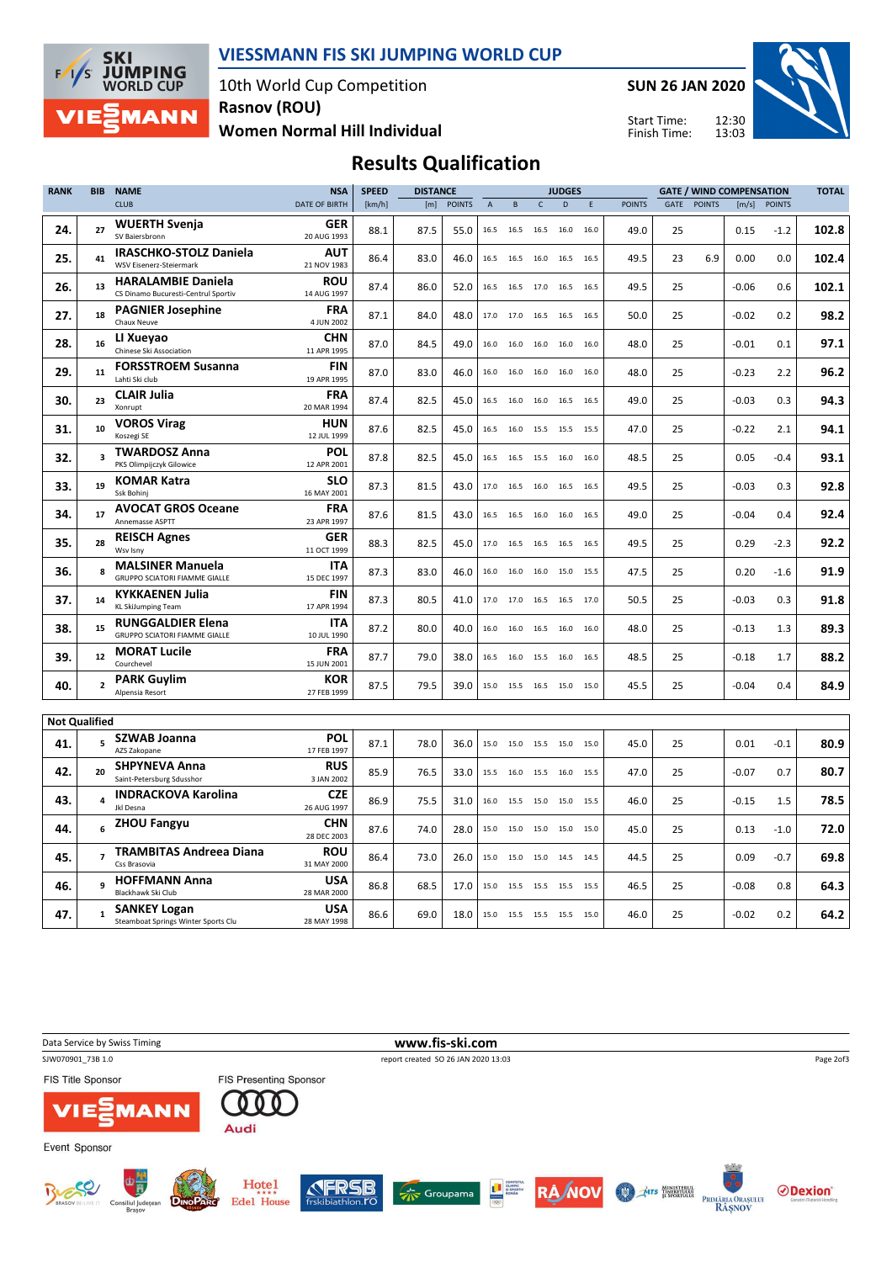

### VIESSMANN FIS SKI JUMPING WORLD CUP

10th World Cup Competition Rasnov (ROU)

Women Normal Hill Individual

SUN 26 JAN 2020

Start Time: Finish Time:



## Results Qualification

| <b>RANK</b>          | <b>BIB</b>     | <b>NAME</b>                                                      | <b>NSA</b>                | <b>SPEED</b> | <b>DISTANCE</b> |               |                |                | <b>JUDGES</b><br><b>GATE / WIND COMPENSATION</b> |      |      |               |      | <b>TOTAL</b>  |         |               |       |
|----------------------|----------------|------------------------------------------------------------------|---------------------------|--------------|-----------------|---------------|----------------|----------------|--------------------------------------------------|------|------|---------------|------|---------------|---------|---------------|-------|
|                      |                | <b>CLUB</b>                                                      | DATE OF BIRTH             | [km/h]       | [m]             | <b>POINTS</b> | $\overline{A}$ | B              |                                                  | D    | E    | <b>POINTS</b> | GATE | <b>POINTS</b> | [m/s]   | <b>POINTS</b> |       |
| 24.                  | 27             | <b>WUERTH Svenja</b><br>SV Baiersbronn                           | <b>GER</b><br>20 AUG 1993 | 88.1         | 87.5            | 55.0          | 16.5           | 16.5           | 16.5                                             | 16.0 | 16.0 | 49.0          | 25   |               | 0.15    | $-1.2$        | 102.8 |
| 25.                  | 41             | <b>IRASCHKO-STOLZ Daniela</b><br>WSV Eisenerz-Steiermark         | <b>AUT</b><br>21 NOV 1983 | 86.4         | 83.0            | 46.0          | 16.5           | 16.5           | 16.0 16.5                                        |      | 16.5 | 49.5          | 23   | 6.9           | 0.00    | 0.0           | 102.4 |
| 26.                  | 13             | <b>HARALAMBIE Daniela</b><br>CS Dinamo Bucuresti-Centrul Sportiv | <b>ROU</b><br>14 AUG 1997 | 87.4         | 86.0            | 52.0          | 16.5           |                | 16.5 17.0 16.5                                   |      | 16.5 | 49.5          | 25   |               | $-0.06$ | 0.6           | 102.1 |
| 27.                  | 18             | <b>PAGNIER Josephine</b><br>Chaux Neuve                          | <b>FRA</b><br>4 JUN 2002  | 87.1         | 84.0            | 48.0          | 17.0           | 17.0 16.5 16.5 |                                                  |      | 16.5 | 50.0          | 25   |               | $-0.02$ | 0.2           | 98.2  |
| 28.                  | 16             | LI Xueyao<br>Chinese Ski Association                             | <b>CHN</b><br>11 APR 1995 | 87.0         | 84.5            | 49.0          | 16.0           | 16.0           | 16.0                                             | 16.0 | 16.0 | 48.0          | 25   |               | $-0.01$ | 0.1           | 97.1  |
| 29.                  | 11             | <b>FORSSTROEM Susanna</b><br>Lahti Ski club                      | <b>FIN</b><br>19 APR 1995 | 87.0         | 83.0            | 46.0          | 16.0           | 16.0           | 16.0                                             | 16.0 | 16.0 | 48.0          | 25   |               | $-0.23$ | 2.2           | 96.2  |
| 30.                  | 23             | <b>CLAIR Julia</b><br>Xonrupt                                    | <b>FRA</b><br>20 MAR 1994 | 87.4         | 82.5            | 45.0          | 16.5           | 16.0           | 16.0                                             | 16.5 | 16.5 | 49.0          | 25   |               | $-0.03$ | 0.3           | 94.3  |
| 31.                  | 10             | <b>VOROS Virag</b><br>Koszegi SE                                 | <b>HUN</b><br>12 JUL 1999 | 87.6         | 82.5            | 45.0          | 16.5           | 16.0           | 15.5                                             | 15.5 | 15.5 | 47.0          | 25   |               | $-0.22$ | 2.1           | 94.1  |
| 32.                  |                | <b>TWARDOSZ Anna</b><br>PKS Olimpijczyk Gilowice                 | POL<br>12 APR 2001        | 87.8         | 82.5            | 45.0          | 16.5           | 16.5           | 15.5                                             | 16.0 | 16.0 | 48.5          | 25   |               | 0.05    | $-0.4$        | 93.1  |
| 33.                  | 19             | <b>KOMAR Katra</b><br>Ssk Bohini                                 | <b>SLO</b><br>16 MAY 2001 | 87.3         | 81.5            | 43.0          | 17.0           | 16.5           | 16.0                                             | 16.5 | 16.5 | 49.5          | 25   |               | $-0.03$ | 0.3           | 92.8  |
| 34.                  | 17             | <b>AVOCAT GROS Oceane</b><br>Annemasse ASPTT                     | <b>FRA</b><br>23 APR 1997 | 87.6         | 81.5            | 43.0          | 16.5           |                | 16.5 16.0 16.0                                   |      | 16.5 | 49.0          | 25   |               | $-0.04$ | 0.4           | 92.4  |
| 35.                  | 28             | <b>REISCH Agnes</b><br>Wsv Isny                                  | <b>GER</b><br>11 OCT 1999 | 88.3         | 82.5            | 45.0          | 17.0           | 16.5           | 16.5 16.5                                        |      | 16.5 | 49.5          | 25   |               | 0.29    | $-2.3$        | 92.2  |
| 36.                  |                | <b>MALSINER Manuela</b><br><b>GRUPPO SCIATORI FIAMME GIALLE</b>  | <b>ITA</b><br>15 DEC 1997 | 87.3         | 83.0            | 46.0          | 16.0           | 16.0           | 16.0 15.0                                        |      | 15.5 | 47.5          | 25   |               | 0.20    | $-1.6$        | 91.9  |
| 37.                  | 14             | <b>KYKKAENEN Julia</b><br><b>KL SkiJumping Team</b>              | <b>FIN</b><br>17 APR 1994 | 87.3         | 80.5            | 41.0          | 17.0           | 17.0           | 16.5                                             | 16.5 | 17.0 | 50.5          | 25   |               | $-0.03$ | 0.3           | 91.8  |
| 38.                  | 15             | <b>RUNGGALDIER Elena</b><br><b>GRUPPO SCIATORI FIAMME GIALLE</b> | <b>ITA</b><br>10 JUL 1990 | 87.2         | 80.0            | 40.0          | 16.0           | 16.0           | 16.5 16.0                                        |      | 16.0 | 48.0          | 25   |               | $-0.13$ | 1.3           | 89.3  |
| 39.                  | 12             | <b>MORAT Lucile</b><br>Courchevel                                | <b>FRA</b><br>15 JUN 2001 | 87.7         | 79.0            | 38.0          | 16.5           | 16.0           | 15.5                                             | 16.0 | 16.5 | 48.5          | 25   |               | $-0.18$ | 1.7           | 88.2  |
| 40.                  |                | <b>PARK Guylim</b><br>Alpensia Resort                            | <b>KOR</b><br>27 FEB 1999 | 87.5         | 79.5            | 39.0          | 15.0           | 15.5 16.5 15.0 |                                                  |      | 15.0 | 45.5          | 25   |               | $-0.04$ | 0.4           | 84.9  |
| <b>Not Qualified</b> |                |                                                                  |                           |              |                 |               |                |                |                                                  |      |      |               |      |               |         |               |       |
| 41.                  |                | <b>SZWAB Joanna</b><br>AZS Zakopane                              | POL<br>17 FEB 1997        | 87.1         | 78.0            | 36.0          | 15.0           |                | 15.0 15.5 15.0                                   |      | 15.0 | 45.0          | 25   |               | 0.01    | $-0.1$        | 80.9  |
| 42.                  | 20             | <b>SHPYNEVA Anna</b><br>Saint-Petersburg Sdusshor                | <b>RUS</b><br>3 JAN 2002  | 85.9         | 76.5            | 33.0          | 15.5           | 16.0 15.5 16.0 |                                                  |      | 15.5 | 47.0          | 25   |               | $-0.07$ | 0.7           | 80.7  |
| 43.                  |                | <b>INDRACKOVA Karolina</b><br>Jkl Desna                          | <b>CZE</b><br>26 AUG 1997 | 86.9         | 75.5            | 31.0          | 16.0           |                | 15.5 15.0 15.0                                   |      | 15.5 | 46.0          | 25   |               | $-0.15$ | 1.5           | 78.5  |
| 44.                  | 6              | <b>ZHOU Fangyu</b>                                               | <b>CHN</b><br>28 DEC 2003 | 87.6         | 74.0            | 28.0          | 15.0           | 15.0           | 15.0 15.0                                        |      | 15.0 | 45.0          | 25   |               | 0.13    | $-1.0$        | 72.0  |
| 45.                  | $\overline{7}$ | <b>TRAMBITAS Andreea Diana</b><br>Css Brasovia                   | <b>ROU</b><br>31 MAY 2000 | 86.4         | 73.0            | 26.0          | 15.0           | 15.0           | 15.0 14.5                                        |      | 14.5 | 44.5          | 25   |               | 0.09    | $-0.7$        | 69.8  |
| 46.                  | 9              | <b>HOFFMANN Anna</b><br>Blackhawk Ski Club                       | <b>USA</b><br>28 MAR 2000 | 86.8         | 68.5            | 17.0          | 15.0           | 15.5           | 15.5 15.5                                        |      | 15.5 | 46.5          | 25   |               | $-0.08$ | 0.8           | 64.3  |
| 47.                  | 1              | <b>SANKEY Logan</b><br>Steamboat Springs Winter Sports Clu       | <b>USA</b><br>28 MAY 1998 | 86.6         | 69.0            | 18.0          | 15.0           | 15.5 15.5 15.5 |                                                  |      | 15.0 | 46.0          | 25   |               | $-0.02$ | 0.2           | 64.2  |